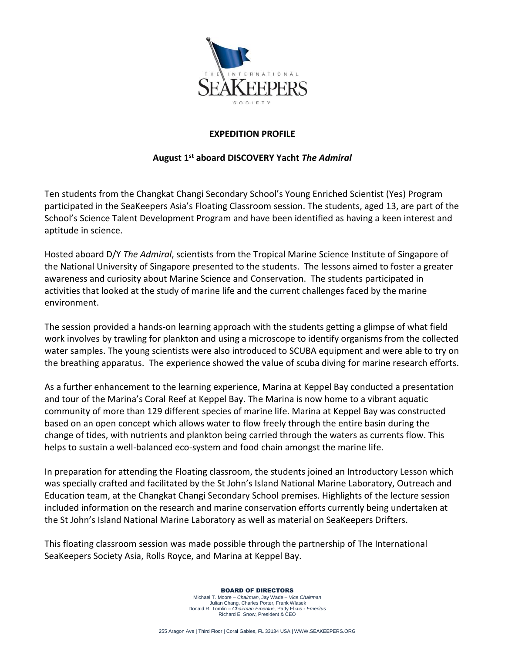

## **EXPEDITION PROFILE**

## **August 1st aboard DISCOVERY Yacht** *The Admiral*

Ten students from the Changkat Changi Secondary School's Young Enriched Scientist (Yes) Program participated in the SeaKeepers Asia's Floating Classroom session. The students, aged 13, are part of the School's Science Talent Development Program and have been identified as having a keen interest and aptitude in science.

Hosted aboard D/Y *The Admiral*, scientists from the Tropical Marine Science Institute of Singapore of the National University of Singapore presented to the students. The lessons aimed to foster a greater awareness and curiosity about Marine Science and Conservation. The students participated in activities that looked at the study of marine life and the current challenges faced by the marine environment.

The session provided a hands-on learning approach with the students getting a glimpse of what field work involves by trawling for plankton and using a microscope to identify organisms from the collected water samples. The young scientists were also introduced to SCUBA equipment and were able to try on the breathing apparatus. The experience showed the value of scuba diving for marine research efforts.

As a further enhancement to the learning experience, Marina at Keppel Bay conducted a presentation and tour of the Marina's Coral Reef at Keppel Bay. The Marina is now home to a vibrant aquatic community of more than 129 different species of marine life. Marina at Keppel Bay was constructed based on an open concept which allows water to flow freely through the entire basin during the change of tides, with nutrients and plankton being carried through the waters as currents flow. This helps to sustain a well-balanced eco-system and food chain amongst the marine life.

In preparation for attending the Floating classroom, the students joined an Introductory Lesson which was specially crafted and facilitated by the St John's Island National Marine Laboratory, Outreach and Education team, at the Changkat Changi Secondary School premises. Highlights of the lecture session included information on the research and marine conservation efforts currently being undertaken at the St John's Island National Marine Laboratory as well as material on SeaKeepers Drifters.

This floating classroom session was made possible through the partnership of The International SeaKeepers Society Asia, Rolls Royce, and Marina at Keppel Bay.

BOARD OF DIRECTORS

Michael T. Moore – *Chairman*, Jay Wade – *Vice Chairman* Julian Chang, Charles Porter, Frank Wlasek Donald R. Tomlin – *Chairman Emeritus,* Patty Elkus - *Emeritus* Richard E. Snow, President & CEO